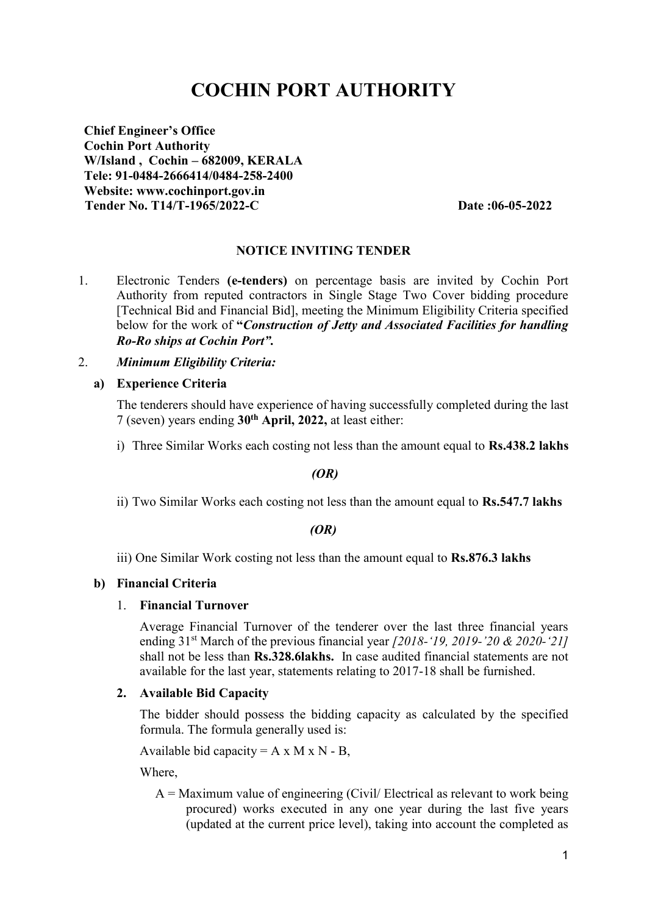# **COCHIN PORT AUTHORITY**

**Chief Engineer's Office Cochin Port Authority W/Island , Cochin – 682009, KERALA Tele: 91-0484-2666414/0484-258-2400 Website: [www.cochinport.gov.in](http://www.cochinport.gov.in/) Tender No. T14/T-1965/2022-C Date :06-05-2022**

## **NOTICE INVITING TENDER**

1. Electronic Tenders **(e-tenders)** on percentage basis are invited by Cochin Port Authority from reputed contractors in Single Stage Two Cover bidding procedure [Technical Bid and Financial Bid], meeting the Minimum Eligibility Criteria specified below for the work of **"***Construction of Jetty and Associated Facilities for handling Ro-Ro ships at Cochin Port".* 

## 2. *Minimum Eligibility Criteria:*

#### **a) Experience Criteria**

The tenderers should have experience of having successfully completed during the last 7 (seven) years ending **30 th April, 2022,** at least either:

i) Three Similar Works each costing not less than the amount equal to **Rs.438.2 lakhs**

#### *(OR)*

ii) Two Similar Works each costing not less than the amount equal to **Rs.547.7 lakhs**

## *(OR)*

iii) One Similar Work costing not less than the amount equal to **Rs.876.3 lakhs**

## **b) Financial Criteria**

#### 1. **Financial Turnover**

Average Financial Turnover of the tenderer over the last three financial years ending 31st March of the previous financial year *[2018-'19, 2019-'20 & 2020-'21]*  shall not be less than **Rs.328.6lakhs.** In case audited financial statements are not available for the last year, statements relating to 2017-18 shall be furnished.

#### **2. Available Bid Capacity**

The bidder should possess the bidding capacity as calculated by the specified formula. The formula generally used is:

Available bid capacity =  $A \times M \times N - B$ ,

Where,

 $A =$ Maximum value of engineering (Civil/ Electrical as relevant to work being procured) works executed in any one year during the last five years (updated at the current price level), taking into account the completed as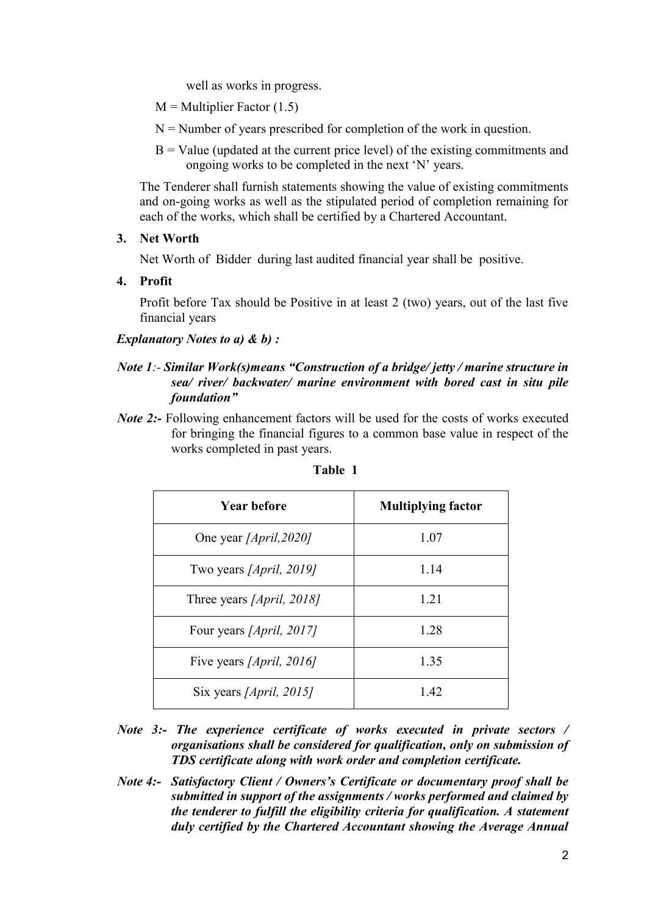well as works in progress.

 $M =$  Multiplier Factor (1.5)

- $N =$  Number of years prescribed for completion of the work in question.
- $B =$  Value (updated at the current price level) of the existing commitments and ongoing works to be completed in the next 'N' years.

The Tenderer shall furnish statements showing the value of existing commitments and on-going works as well as the stipulated period of completion remaining for each of the works, which shall be certified by a Chartered Accountant.

**3. Net Worth**

Net Worth of Bidder during last audited financial year shall be positive.

**4. Profit**

Profit before Tax should be Positive in at least 2 (two) years, out of the last five financial years

*Explanatory Notes to a) & b) :*

## *Note 1:- Similar Work(s)means "Construction of a bridge/ jetty / marine structure in sea/ river/ backwater/ marine environment with bored cast in situ pile foundation"*

*Note 2*:- Following enhancement factors will be used for the costs of works executed for bringing the financial figures to a common base value in respect of the works completed in past years.

| <b>Year before</b>                | <b>Multiplying factor</b> |
|-----------------------------------|---------------------------|
| One year [ <i>April,2020</i> ]    | 1.07                      |
| Two years [ <i>April</i> , 2019]  | 1.14                      |
| Three years [April, 2018]         | 1.21                      |
| Four years [April, 2017]          | 1.28                      |
| Five years [ <i>April</i> , 2016] | 1.35                      |
| Six years [April, 2015]           | 1.42                      |

#### **Table 1**

- *Note 3:- The experience certificate of works executed in private sectors / organisations shall be considered for qualification, only on submission of TDS certificate along with work order and completion certificate.*
- *Note 4:- Satisfactory Client / Owners's Certificate or documentary proof shall be submitted in support of the assignments / works performed and claimed by the tenderer to fulfill the eligibility criteria for qualification. A statement duly certified by the Chartered Accountant showing the Average Annual*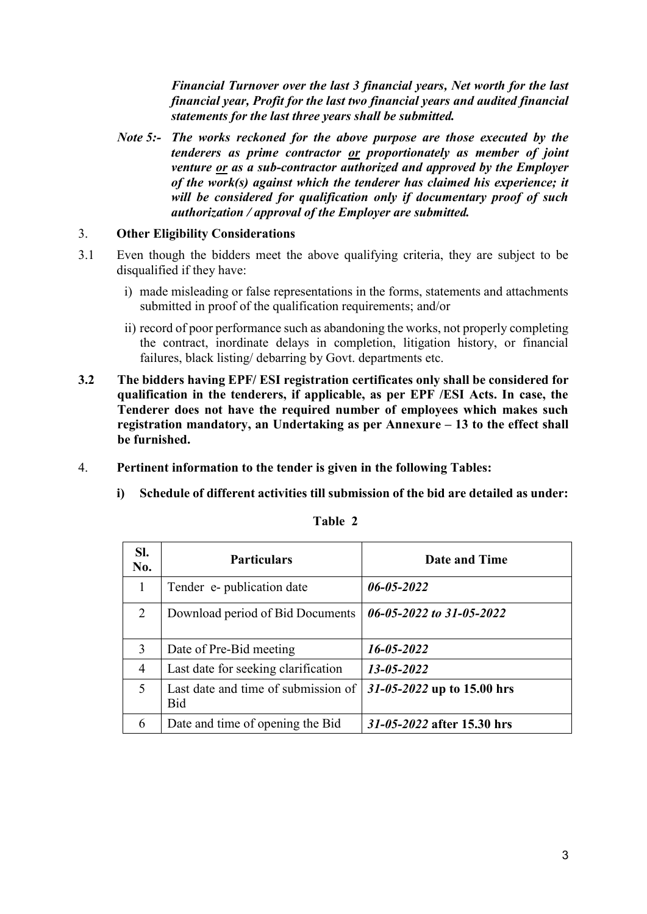*Financial Turnover over the last 3 financial years, Net worth for the last financial year, Profit for the last two financial years and audited financial statements for the last three years shall be submitted.*

*Note 5:- The works reckoned for the above purpose are those executed by the tenderers as prime contractor or proportionately as member of joint venture or as a sub-contractor authorized and approved by the Employer of the work(s) against which the tenderer has claimed his experience; it will be considered for qualification only if documentary proof of such authorization / approval of the Employer are submitted.*

## 3. **Other Eligibility Considerations**

- 3.1 Even though the bidders meet the above qualifying criteria, they are subject to be disqualified if they have:
	- i) made misleading or false representations in the forms, statements and attachments submitted in proof of the qualification requirements; and/or
	- ii) record of poor performance such as abandoning the works, not properly completing the contract, inordinate delays in completion, litigation history, or financial failures, black listing/ debarring by Govt. departments etc.
- **3.2 The bidders having EPF/ ESI registration certificates only shall be considered for qualification in the tenderers, if applicable, as per EPF /ESI Acts. In case, the Tenderer does not have the required number of employees which makes such registration mandatory, an Undertaking as per Annexure – 13 to the effect shall be furnished.**
- 4. **Pertinent information to the tender is given in the following Tables:** 
	- **i) Schedule of different activities till submission of the bid are detailed as under:**

| SI.<br>No.     | <b>Particulars</b>                                | Date and Time              |
|----------------|---------------------------------------------------|----------------------------|
|                | Tender e- publication date                        | $06 - 05 - 2022$           |
| 2              | Download period of Bid Documents                  | 06-05-2022 to 31-05-2022   |
| 3              | Date of Pre-Bid meeting                           | 16-05-2022                 |
| $\overline{4}$ | Last date for seeking clarification               | 13-05-2022                 |
| 5              | Last date and time of submission of<br><b>Bid</b> | 31-05-2022 up to 15.00 hrs |
| 6              | Date and time of opening the Bid                  | 31-05-2022 after 15.30 hrs |

**Table 2**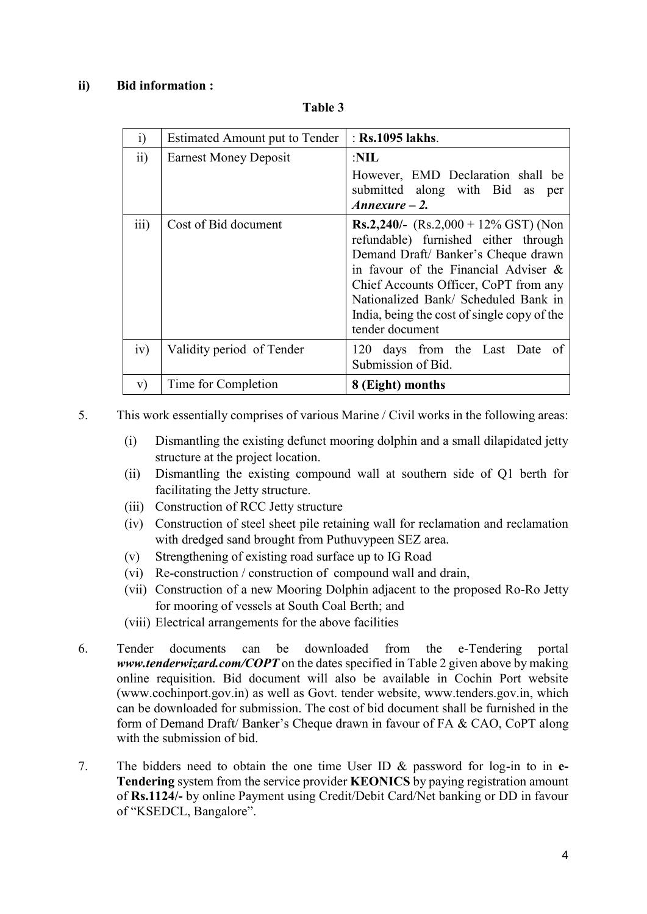## **ii) Bid information :**

| $\ddot{1}$       | Estimated Amount put to Tender | : Rs.1095 lakhs.                                                                                                                                                                                                                                                                                                        |
|------------------|--------------------------------|-------------------------------------------------------------------------------------------------------------------------------------------------------------------------------------------------------------------------------------------------------------------------------------------------------------------------|
| $\overline{11}$  | <b>Earnest Money Deposit</b>   | :NIL                                                                                                                                                                                                                                                                                                                    |
|                  |                                | However, EMD Declaration shall be<br>submitted along with Bid as per<br>$An nexture-2.$                                                                                                                                                                                                                                 |
| $\overline{111}$ | Cost of Bid document           | <b>Rs.2,240/-</b> (Rs.2,000 + 12% GST) (Non<br>refundable) furnished either through<br>Demand Draft/Banker's Cheque drawn<br>in favour of the Financial Adviser $\&$<br>Chief Accounts Officer, CoPT from any<br>Nationalized Bank/ Scheduled Bank in<br>India, being the cost of single copy of the<br>tender document |
| iv)              | Validity period of Tender      | 120 days from the Last Date of<br>Submission of Bid.                                                                                                                                                                                                                                                                    |
| V)               | Time for Completion            | 8 (Eight) months                                                                                                                                                                                                                                                                                                        |

**Table 3**

5. This work essentially comprises of various Marine / Civil works in the following areas:

- (i) Dismantling the existing defunct mooring dolphin and a small dilapidated jetty structure at the project location.
- (ii) Dismantling the existing compound wall at southern side of Q1 berth for facilitating the Jetty structure.
- (iii) Construction of RCC Jetty structure
- (iv) Construction of steel sheet pile retaining wall for reclamation and reclamation with dredged sand brought from Puthuvypeen SEZ area.
- (v) Strengthening of existing road surface up to IG Road
- (vi) Re-construction / construction of compound wall and drain,
- (vii) Construction of a new Mooring Dolphin adjacent to the proposed Ro-Ro Jetty for mooring of vessels at South Coal Berth; and
- (viii) Electrical arrangements for the above facilities
- 6. Tender documents can be downloaded from the e-Tendering portal *[www.tenderwizard.com/COPT](http://www.tenderwizard.com/COPT)* on the dates specified in Table 2 given above by making online requisition. Bid document will also be available in Cochin Port website [\(www.cochinport.gov.in\)](http://www.cochinport.gov.in/) as well as Govt. tender website, [www.tenders.gov.in,](http://www.tenders.gov.in/) which can be downloaded for submission. The cost of bid document shall be furnished in the form of Demand Draft/ Banker's Cheque drawn in favour of FA & CAO, CoPT along with the submission of bid.
- 7. The bidders need to obtain the one time User ID & password for log-in to in **e-Tendering** system from the service provider **KEONICS** by paying registration amount of **Rs.1124/-** by online Payment using Credit/Debit Card/Net banking or DD in favour of "KSEDCL, Bangalore".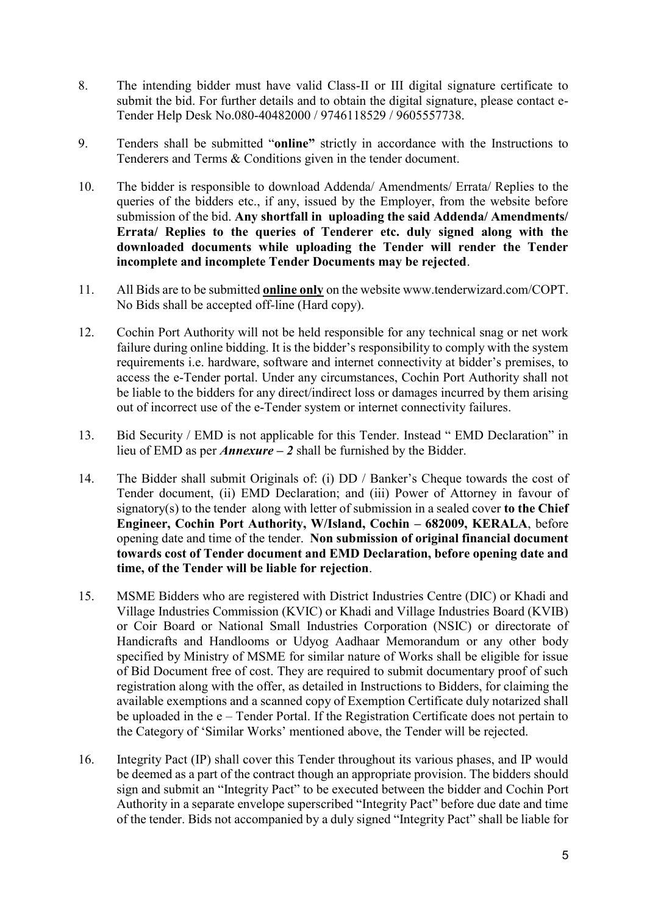- 8. The intending bidder must have valid Class-II or III digital signature certificate to submit the bid. For further details and to obtain the digital signature, please contact e-Tender Help Desk No.080-40482000 / 9746118529 / 9605557738.
- 9. Tenders shall be submitted "**online"** strictly in accordance with the Instructions to Tenderers and Terms & Conditions given in the tender document.
- 10. The bidder is responsible to download Addenda/ Amendments/ Errata/ Replies to the queries of the bidders etc., if any, issued by the Employer, from the website before submission of the bid. **Any shortfall in uploading the said Addenda/ Amendments/ Errata/ Replies to the queries of Tenderer etc. duly signed along with the downloaded documents while uploading the Tender will render the Tender incomplete and incomplete Tender Documents may be rejected**.
- 11. All Bids are to be submitted **online only** on the website [www.tenderwizard.com/COPT.](http://www.tenderwizard.com/COPT) No Bids shall be accepted off-line (Hard copy).
- 12. Cochin Port Authority will not be held responsible for any technical snag or net work failure during online bidding. It is the bidder's responsibility to comply with the system requirements i.e. hardware, software and internet connectivity at bidder's premises, to access the e-Tender portal. Under any circumstances, Cochin Port Authority shall not be liable to the bidders for any direct/indirect loss or damages incurred by them arising out of incorrect use of the e-Tender system or internet connectivity failures.
- 13. Bid Security / EMD is not applicable for this Tender. Instead " EMD Declaration" in lieu of EMD as per *Annexure – 2* shall be furnished by the Bidder.
- 14. The Bidder shall submit Originals of: (i) DD / Banker's Cheque towards the cost of Tender document, (ii) EMD Declaration; and (iii) Power of Attorney in favour of signatory(s) to the tender along with letter of submission in a sealed cover **to the Chief Engineer, Cochin Port Authority, W/Island, Cochin – 682009, KERALA**, before opening date and time of the tender. **Non submission of original financial document towards cost of Tender document and EMD Declaration, before opening date and time, of the Tender will be liable for rejection**.
- 15. MSME Bidders who are registered with District Industries Centre (DIC) or Khadi and Village Industries Commission (KVIC) or Khadi and Village Industries Board (KVIB) or Coir Board or National Small Industries Corporation (NSIC) or directorate of Handicrafts and Handlooms or Udyog Aadhaar Memorandum or any other body specified by Ministry of MSME for similar nature of Works shall be eligible for issue of Bid Document free of cost. They are required to submit documentary proof of such registration along with the offer, as detailed in Instructions to Bidders, for claiming the available exemptions and a scanned copy of Exemption Certificate duly notarized shall be uploaded in the e – Tender Portal. If the Registration Certificate does not pertain to the Category of 'Similar Works' mentioned above, the Tender will be rejected.
- 16. Integrity Pact (IP) shall cover this Tender throughout its various phases, and IP would be deemed as a part of the contract though an appropriate provision. The bidders should sign and submit an "Integrity Pact" to be executed between the bidder and Cochin Port Authority in a separate envelope superscribed "Integrity Pact" before due date and time of the tender. Bids not accompanied by a duly signed "Integrity Pact" shall be liable for